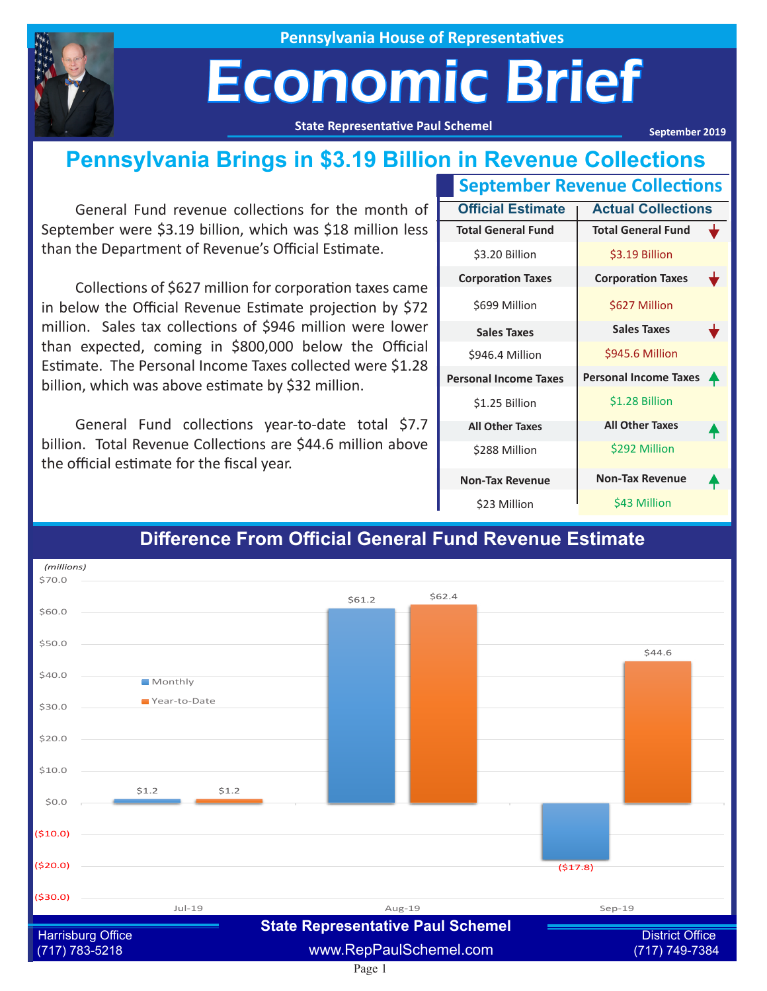

**Pennsylvania House of Representatives**

## Economic Brief

**State Representative Paul Schemel**

**September 2019**

### **Pennsylvania Brings in \$3.19 Billion in Revenue Collections**

General Fund revenue collections for the month of September were \$3.19 billion, which was \$18 million less than the Department of Revenue's Official Estimate.

Collections of \$627 million for corporation taxes came in below the Official Revenue Estimate projection by \$72 million. Sales tax collections of \$946 million were lower than expected, coming in \$800,000 below the Official Estimate. The Personal Income Taxes collected were \$1.28 billion, which was above estimate by \$32 million.

General Fund collections year-to-date total \$7.7 billion. Total Revenue Collections are \$44.6 million above the official estimate for the fiscal year.

| <b>September Revenue Collections</b> |                              |   |
|--------------------------------------|------------------------------|---|
| <b>Official Estimate</b>             | <b>Actual Collections</b>    |   |
| <b>Total General Fund</b>            | <b>Total General Fund</b>    |   |
| \$3.20 Billion                       | \$3.19 Billion               |   |
| <b>Corporation Taxes</b>             | <b>Corporation Taxes</b>     |   |
| \$699 Million                        | \$627 Million                |   |
| <b>Sales Taxes</b>                   | <b>Sales Taxes</b>           |   |
| \$946.4 Million                      | \$945.6 Million              |   |
| <b>Personal Income Taxes</b>         | <b>Personal Income Taxes</b> | 4 |
| \$1.25 Billion                       | \$1.28 Billion               |   |
| <b>All Other Taxes</b>               | <b>All Other Taxes</b>       |   |
| \$288 Million                        | \$292 Million                |   |
| <b>Non-Tax Revenue</b>               | <b>Non-Tax Revenue</b>       |   |
| \$23 Million                         | \$43 Million                 |   |



#### **Difference From Official General Fund Revenue Estimate**